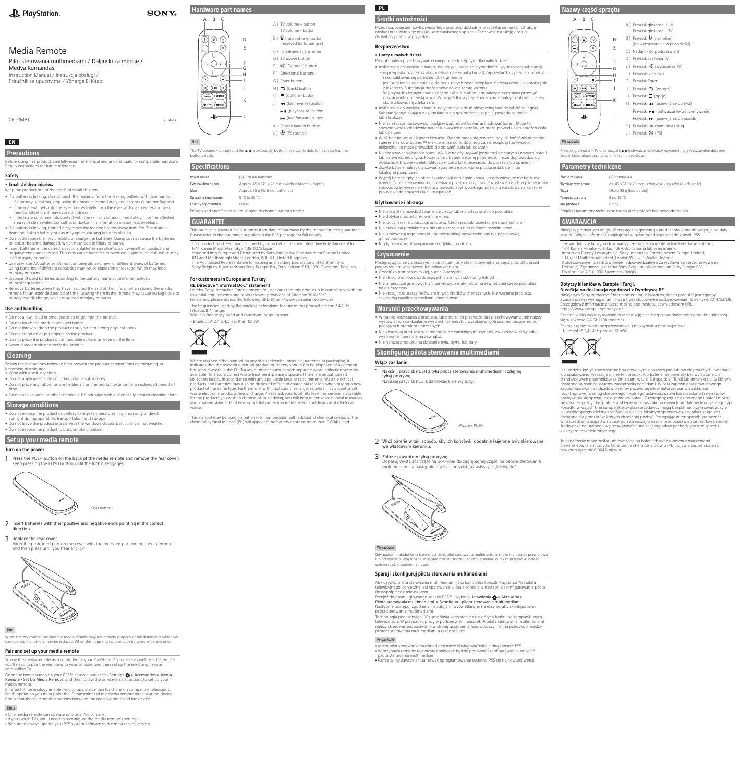# **EN**

Precautions

Before using this product, carefully read this manual and any manuals for compatible hardware. Retain instructions for future reference.

#### Safety • **Small children injuries.**

Keep the product out of the reach of small children.

- If a battery is leaking, do not touch the material from the leaking battery with bare hands. – If a battery is leaking, stop using the product immediately and contact Customer Support.
- If the material gets into the eyes, immediately flush the eyes with clean water and seek medical attention. It may cause blindness.
- If the material comes into contact with the skin or clothes, immediately rinse the affected area with clean water. Consult your doctor if inflammation or soreness develops.
- If a battery is leaking, immediately move the leaking battery away from fire. The material from the leaking battery or gas may ignite, causing fire or explosion. • Do not disassemble, heat, modify, or charge the batteries. Doing so may cause the batteries
- to leak or become damaged, which may lead to injury or burns. • Insert batteries in the correct direction. Batteries can short-circuit when their positive and
- negative ends are reversed. This may cause batteries to overheat, explode, or leak, which may lead to injury or burns. • Use only size AA batteries. Do not combine old and new, or different types of batteries.
- Using batteries of different capacities may cause explosion or leakage, which may lead to injury or burns.
- Dispose of used batteries according to the battery manufacturer's instructions or local regulations.
- Remove batteries when they have reached the end of their life, or when storing the media remote for an extended period of time. Leaving them in the remote may cause leakage due to battery overdischarge, which may lead to injury or burns.

2 Insert batteries with their positive and negative ends pointing in the correct direction.

#### Use and handling

Go to the home screen on your PS5<sup>™</sup> console and select Settings  $\bigcirc$  > Accessories > Media Remote> Set Up Media Remote, and then follow the on-screen instructions to set up your media remote.

- Do not allow liquid or small particles to get into the product.
- Do not touch the product with wet hands.
- Do not throw or drop the product or subject it to strong physical shock. • Do not stand on or put objects on the product.
- Do not place the product on an unstable surface or leave on the floor.
- Never disassemble or modify the product.

### **Cleaning**

A ) TV volume + button TV volume - button B ) (microphone) button (reserved for future use) C ) IR (infrared) transmitter D ) TV power button E ) (TV mute) button F ) Directional buttons G ) Enter button  $H$  )  $\rightarrow$  (back) button  $\equiv$  (options) button J) << (fast reverse) button  $\blacktriangleright$  II (play/pause) button **EXECUTE:** (fast forward) button K ) Service launch buttons L ) **(D** (PS) button

The TV volume + button and the  $\blacktriangleright$  II (play/pause) button have tactile dots to help you find the

This product is covered for 12 months from date of purchase by the manufacturer's guarantee.

- Follow the instructions below to help prevent the product exterior from deteriorating or becoming discoloured.
- Wipe with a soft, dry cloth
- Do not apply insecticides or other volatile substances. • Do not place any rubber or vinyl materials on the product exterior for an extended period of
- time. • Do not use solvents or other chemicals. Do not wipe with a chemically-treated cleaning cloth.
- 

Operating temperature 5 °C to 35 °C Country of production China

Mass Mass Approx. 55 g (Without batteries)

# Storage conditions

- Do not expose the product or battery to high temperatures, high humidity or direct sunlight during operation, transportation and storage
- Do not leave the product in a car with the windows closed, particularly in hot weather • Do not expose the product to dust, smoke or steam.

## Set up your media remote

### Turn on the power

1 Press the PUSH button on the back of the media remote and remove the rear cover. Keep pressing the PUSH button until the lock disengages.



10 Great Marlborough Street, London, W1F 7LP, United Kingdom.<br>The Authorised Representative for issuing and holding Declarations of Conformity is<br>Sony Belgium, bijkantoor van Sony Europe B.V., Da Vincilaan 7-D1, 1930 Zaven For customers in Europe and Turkey. **RE Directive "Informal DoC" statement** Hereby, Sony Interactive Entertainment Inc., declares that this product is in compliance with the essential requirements and other relevant provisions of Directive 2014/53/EU. For details, please access the following URL: https://www.compliance.sony.de/ The frequencies used by the wireless networking feature of this product are the 2.4 GHz (Bluetooth®) range. Wireless frequency band and maximum output power:

#### 3 Replace the rear cover.

Align the protruded part on the cover with the recessed part on the media remote, and then press until you hear a "click".

#### Hint

When battery charge runs low, the media remote may not operate properly or the distance at which you can operate the remote may be reduced. When this happens, replace both batteries with new ones.

#### Pair and set up your media remote

To use the media remote as a controller for your PlayStation®5 console as well as a TV remote, you'll need to pair the remote with your console, and then set up the remote with your compatible TV.

Infrared (IR) technology enables you to operate certain functions on compatible televisions. For IR operation you must point the IR transmitter of the media remote directly at the device. Check that there are no obstructions between the media remote and the device.

#### Hints

<sup>ˎ</sup> One media remote can operate only one PS5 console.

• If you switch TVs, you'll need to reconfigure the media remote's settings

• Be sure to always update your PS5 system software to the most recent version.

Hardware part names

 $\binom{1}{1}$ 

 $\odot$ 

 $\cup$  $\cap$ 

 $\odot$ 

Hint

buttons easily.

Specifications

Power source (2) Size AA batteries

Design and specifications are subject to change without notice.

GUARANTEE

waste

This product has been manufactured by or on behalf of Sony Interactive Entertainment Inc.,

1-7-1 Konan Minato-ku Tokyo, 108-0075 Japan.

Imported into Europe and Distributed by Sony Interactive Entertainment Europe Limited,

Dopasuj wystającą część na pokrywie do zagłębionej części na pilocie sterowania multimediami, a następnie naciskaj przycisk, aż usłyszysz "kliknięcie



Przejdź do ekranu głównego konsoli PS5™ i wybierz Ustawienia <br/> Akcesoria > Pilota sterowania multimediami > Skonfiguruj pilota sterowania multimediami. Następnie postępuj zgodnie z instrukcjami wyświetlanymi na ekranie, aby skonfigurować pilota sterowania multimediami.

– Bluetooth® 2.4 GHz: less than 10mW.



Przycisk głośności + TV oraz przycisk  $\blacktriangleright$ II (odtwarzanie/wstrzymywanie) mają wyczuwalne dotykiem kropki, które ułatwiają znalezienie tych przycisków.

Where you see either symbol on any of our electrical products, batteries or packaging, it indicates that the relevant electrical product or battery should not be disposed of as general household waste in the EU, Turkey, or other countries with separate waste collection systems available. To ensure correct waste treatment, please dispose of them via an authorised collection facility, in accordance with any applicable laws or requirements. Waste electrical products and batteries may also be disposed of free of charge via retailers when buying a new product of the same type. Furthermore, within EU countries larger retailers may accept small waste electronic products free of charge. Please ask your local retailer if this service is available for the products you wish to dispose of. In so doing, you will help to conserve natural resources and improve standards of environmental protection in treatment and disposal of electrical

This symbol may be used on batteries in combination with additional chemical symbols. The chemical symbol for lead (Pb) will appear if the battery contains more than 0.004% lead.

External dimensions Approx.  $45 \times 145 \times 26$  mm (width  $\times$  height  $\times$  depth)

Please refer to the guarantee supplied in the PS5 package for full details.

Częstotliwości wykorzystywane przez funkcję sieci bezprzewodowej tego produktu mieszczą się w zakresie 2,4 GHz (Bluetooth®).

## **PL** Środki ostrożności

Przed rozpoczęciem użytkowania tego produktu dokładnie przeczytaj niniejszą instrukcję obsługi oraz instrukcję obsługi kompatybilnego sprzętu. Zachowaj instrukcję obsługi do wykorzystania w przyszłości.

### Bezpieczeństwo

#### • **Urazy u małych dzieci.**

- Produkt należy przechowywać w miejscu niedostępnym dla małych dzieci.
- Jeśli doszło do wycieku z baterii, nie dotykaj nieosłoniętymi dłońmi wyciekającej substancji. – w przypadku wycieku z akumulatora należy natychmiast zaprzestać korzystania z produktu i skontaktować się z działem obsługi klienta.
- jeśli substancja dostanie się do oczu, natychmiast przepłucz je czystą wodą i skontaktuj się z lekarzem. Substancja może spowodować utratę wzroku.
- W przypadku kontaktu substancji ze skórą lub ubraniem należy natychmiast przemyć obszar kontaktu czystą wodą. W przypadku wystąpienia zmian zapalnych lub bólu należy skonsultować się z lekarzem.
- Jeśli doszło do wycieku z baterii, natychmiast odsuń nieszczelną baterię od źródeł ognia. Substancja wyciekająca z akumulatora lub gaz może się zapalić, powodując pożar lub eksplozję.
- Nie należy rozmontowywać, podgrzewać, modyfikować ani ładować baterii. Może to spowodować uszkodzenie baterii lub wyciek elektrolitu, co może prowadzić do obrażeń ciała lub oparzeń.
- Włóż baterie we właściwym kierunku. Baterie mogą się zewrzeć, gdy ich końcówki dodatnie i ujemne są odwrócone. W efekcie może dojść do przegrzania, eksplozji lub wycieku elektrolitu, co może prowadzić do obrażeń ciała lub oparzeń.
- Należy używać wyłącznie baterii AA. Nie należy używać jednocześnie starych i nowych baterii lub baterii różnego typu. Korzystanie z baterii o różnej pojemności może doprowadzić do wybuchu lub wycieku elektrolitu, co może z kolei prowadzić do obrażeń lub oparzeń.
- Zużyte baterie należy utylizować zgodnie z instrukcjami producenta baterii lub lokalnymi przepisam
- Wyjmij baterie, gdy ich okres eksploatacji dobiegnie końca lub gdy wiesz, że nie będziesz używać pilota sterowania multimediami przez dłuższy czas. Pozostawienie ich w pilocie może spowodować wyciek elektrolitu z powodu zbyt wysokiego poziomu naładowania, co może prowadzić do obrażeń ciała lub oparzeń.

#### Użytkowanie i obsługa

- Nie pozwól na przedostawanie się cieczy lub małych cząstek do produktu.
- Nie dotykaj produktu mokrymi rękoma.
- Nie rzucaj ani nie upuszczaj produktu. Chroń produkt przed silnymi uderzeniami. • Nie stawaj na produkcie ani nie umieszczaj na nim żadnych przedmiotów.
- Nie umieszczaj tego produktu na niestabilnej powierzchni ani nie pozostawiaj
- go na podłodze. • Nigdy nie rozmontowuj ani nie modyfikuj produktu.

## Czyszczenie

- Postępuj zgodnie z poniższymi instrukcjami, aby chronić zewnętrzną część produktu przed pogorszeniem właściwości lub odbarwienie • Czyścić za pomocą miękkiej, suchej ściereczki.
- Nie stosuj środków owadobójczych ani innych substancji lotnych. • Nie umieszczaj gumowych ani winylowych materiałów na zewnętrznej części produktu
- na dłuższy czas.
- Nie stosuj rozpuszczalników ani innych środków chemicznych. Nie wycieraj produktu ściereczką nawilżoną środkami chemicznymi.

### Warunki przechowywania

- W trakcie korzystania z produktu lub baterii, ich przewożenia i przechowywania, nie należy wystawiać ich na działanie wysokich temperatur, wysokiej wilgotności ani bezpośrednio padających promieni słonecznych.
- Nie zostawiaj produktu w samochodzie z zamkniętymi szybami, zwłaszcza w przypadku wysokiej temperatury na zewnątrz.
- Nie narażaj produktu na działanie pyłu, dymu lub pary.

# Skonfiguruj pilota sterowania multimediami

### Włącz zasilanie

1 Naciśnij przycisk PUSH z tyłu pilota sterowania multimediami i zdejmij tylną pokrywę. Naciskaj przycisk PUSH, aż blokada się wyłączy.



2 Włóż baterie w taki sposób, aby ich końcówki dodatnie i ujemne były skierowane we właściwym kierunku.

#### 3 Załóż z powrotem tylną pokrywę.

Wskazówki

ziom naładowania baterii jest niski, pilot sterowania multimediami może nie działać prawidłowo

lub odległość, z jaką można korzystać z pilota, może ulec zmniejszeniu. W takim przypadku należy wymienić obie baterie na nowe.

#### Sparuj i skonfiguruj pilota sterowania multimediami

Aby używać pilota sterowania multimediami jako kontrolera konsoli PlayStation®5 i pilota telewizyjnego, konieczne jest sparowanie pilota z konsolą, a następnie skonfigurowanie pilota do współpracy z telewizorem.

Technologia podczerwieni (IR) umożliwia korzystanie z niektórych funkcji na kompatybilnych telewizorach. W przypadku pracy w podczerwieni nadajnik IR pilota sterowania multimediami należy skierować bezpośrednio w stronę urządzenia. Sprawdź, czy nie ma przeszkód między pilotem sterowania multimediami a urządzeniem.

#### Wskazówki

- <sup>ˎ</sup> Jeden pilot sterowania multimediami może obsługiwać tylko jedną konsolę PS5.
- <sup>ˎ</sup> W przypadku zmiany telewizora konieczne będzie ponowne skonfigurowanie ustawień pilota sterowania multimediami.
- <sup>ˎ</sup> Pamiętaj, by zawsze aktualizować oprogramowanie systemu PS5 do najnowszej wersji.

# Nazwy części sprzętu

 $\textcircled{\scriptsize{}}$ 

 $\bigodot$ 

 $\begin{array}{c} \square \end{array}$ 

#### Wskazówki

### Parametry techniczne

| Źródło zasilania                                                    | (2) baterie AA                                        |  |
|---------------------------------------------------------------------|-------------------------------------------------------|--|
| Wymiary zewnętrzne                                                  | ok. 45 × 145 × 26 mm (szerokość × wysokość × długość) |  |
| Waga                                                                | Około 55 g (bez baterii)                              |  |
| Temperatura pracy                                                   | 5 do 35 °C                                            |  |
| Kraj produkcji                                                      | Chiny                                                 |  |
| Projekt i parametry techniczne mogą ulec zmianie bez powiadomienia. |                                                       |  |

### GWARANCJA

Niniejszy produkt jest objęty 12-miesięczną gwarancją producenta, która obowiązuje od daty zakupu. Więcej informacji znajduje się w gwarancji dołączonej do konsoli PS5.

Ten produkt został wyprodukowany przez firmę Sony Interactive Entertainment Inc., 1-7-1 Konan Minato-ku Tokio, 108-0075 Japonia lub w jej imieniu. Import do Europy i dystrybucja: Sony Interactive Entertainment Europe Limited, 10 Great Marlborough Street, Londyn,W1F 7LP, Wielka Brytania. Autoryzowanym przedstawicielem odpowiedzialnym za wydawanie i przechowywanie Deklaracji Zgodności jest firma Sony Belgium, bijkantoor van Sony Europe B.V., Da Vincilaan 7-D1, 1930 Zaventem, Belgia.

### Dotyczy klientów w Europie i Turcji.

**Nieoficjalna deklaracja zgodności z Dyrektywą RE** Niniejszym Sony Interactive Entertainment Inc. oświadcza, że ten produkt\* jest zgodny z zasadniczymi wymaganiami oraz innymi stosownymi postanowieniami Dyrektywy 2014/53/UE. Szczegółowe informacje znaleźć można pod następującym adresem URL: https://www.compliance.sony.de/



Pasmo częstotliwości bezprzewodowej i maksymalna moc wyjściowa: – Bluetooth® 2,4 GHz: poniżej 10 mW.



Jeśli widzisz któryś z tych symboli na dowolnym z naszych produktów elektrycznych, bateriach lub opakowaniu, wskazuje on, że ten produkt lub baterie nie powinny być wyrzucane do standardowych pojemników ze śmieciami w Unii Europejskiej, Turcji lub innym kraju, w którym dostępne są osobne systemy zarządzania odpadami. W celu zapewnienia prawidłowego zagospodarowania odpadów prosimy pozbyć się ich w autoryzowanym zakładzie recyklingowym według stosownego lokalnego ustawodawstwa lub określonych wymogów pozbywania się sprzętu elektrycznego/baterii. Zużytego sprzętu elektrycznego i baterii można się również pozbyć bezpłatnie w sklepie podczas zakupu nowych produktów tego samego typu. Ponadto w krajach Unii Europejskiej więksi sprzedawcy mogą bezpłatnie przyjmować zużyte niewielkie sprzęty elektryczne. Skonaktuj się z lokalnym sprzedawcą, czy taka usługa jest dostępna dla produktów, których chcesz się pozbyć. Postępując w ten sposób, pomożesz w oszczędzaniu bogactw naturalnych na naszej planecie oraz poprawie standardów ochrony środowiska naturalnego w przetwórstwie i utylizacji odpadów pochodzących ze sprzętu elektrycznego/elektronicznego.

To oznaczenie może zostać umieszczone na bateriach wraz z innymi oznaczeniami pierwiastków chemicznych. Oznaczenie chemiczne ołowiu (Pb) pojawia się, jeśli bateria zawiera więcej niż 0,004% ołowiu.



### PlayStation

## Media Remote

Pilot sterowania multimediami / Daljinski za medije / Medya Kumandası Instruction Manual / Instrukcja obsługi /

Priručnik sa uputstvima / Yönerge El Kitabı

CFI-ZMR1 7034217

D E

F G H I

K J

L

 $\overline{R}$ 

⊕⊙

 $\cup$ 

 $\circledleftarrow$   $\circledast$   $\circledast$ 

 $\widehat{\mathcal{C}^{\text{fauge}}(\text{NETFLIK})}$  $\left(\overline{\text{Q} \text{ specify}}\right) \left(\overline{\text{Q} \text{While}}\right)$ 

۰B

 $\textcircled{\scriptsize{}}$ 

⊖

**SONY**